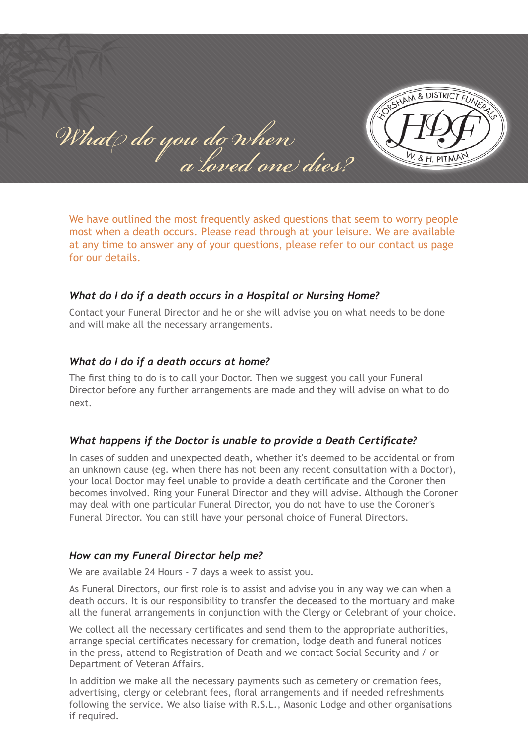RESHAM & DISTRICT FUNER What do you do when  *a loved one dies?* W. & H. PITMA

We have outlined the most frequently asked questions that seem to worry people most when a death occurs. Please read through at your leisure. We are available at any time to answer any of your questions, please refer to our contact us page for our details.

## *What do I do if a death occurs in a Hospital or Nursing Home?*

Contact your Funeral Director and he or she will advise you on what needs to be done and will make all the necessary arrangements.

## *What do I do if a death occurs at home?*

The first thing to do is to call your Doctor. Then we suggest you call your Funeral Director before any further arrangements are made and they will advise on what to do next.

## *What happens if the Doctor is unable to provide a Death Certificate?*

In cases of sudden and unexpected death, whether it's deemed to be accidental or from an unknown cause (eg. when there has not been any recent consultation with a Doctor), your local Doctor may feel unable to provide a death certificate and the Coroner then becomes involved. Ring your Funeral Director and they will advise. Although the Coroner may deal with one particular Funeral Director, you do not have to use the Coroner's Funeral Director. You can still have your personal choice of Funeral Directors.

## *How can my Funeral Director help me?*

We are available 24 Hours - 7 days a week to assist you.

As Funeral Directors, our first role is to assist and advise you in any way we can when a death occurs. It is our responsibility to transfer the deceased to the mortuary and make all the funeral arrangements in conjunction with the Clergy or Celebrant of your choice.

We collect all the necessary certificates and send them to the appropriate authorities, arrange special certificates necessary for cremation, lodge death and funeral notices in the press, attend to Registration of Death and we contact Social Security and / or Department of Veteran Affairs.

In addition we make all the necessary payments such as cemetery or cremation fees, advertising, clergy or celebrant fees, floral arrangements and if needed refreshments following the service. We also liaise with R.S.L., Masonic Lodge and other organisations if required.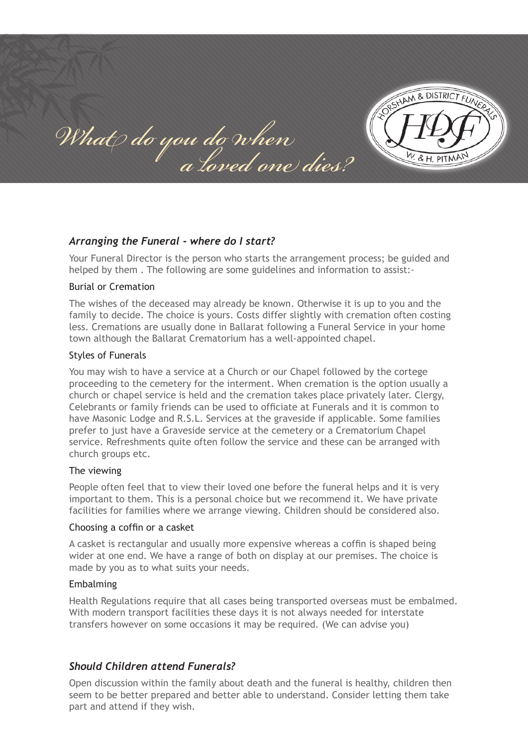RSHAM & DISTRICT FUNER What do you do when  *a loved one dies?* & H. PITMA

## *Arranging the Funeral - where do I start?*

Your Funeral Director is the person who starts the arrangement process; be guided and helped by them . The following are some guidelines and information to assist:-

#### Burial or Cremation

The wishes of the deceased may already be known. Otherwise it is up to you and the family to decide. The choice is yours. Costs differ slightly with cremation often costing less. Cremations are usually done in Ballarat following a Funeral Service in your home town although the Ballarat Crematorium has a well-appointed chapel.

#### Styles of Funerals

You may wish to have a service at a Church or our Chapel followed by the cortege proceeding to the cemetery for the interment. When cremation is the option usually a church or chapel service is held and the cremation takes place privately later. Clergy, Celebrants or family friends can be used to officiate at Funerals and it is common to have Masonic Lodge and R.S.L. Services at the graveside if applicable. Some families prefer to just have a Graveside service at the cemetery or a Crematorium Chapel service. Refreshments quite often follow the service and these can be arranged with church groups etc.

#### The viewing

People often feel that to view their loved one before the funeral helps and it is very important to them. This is a personal choice but we recommend it. We have private facilities for families where we arrange viewing. Children should be considered also.

#### Choosing a coffin or a casket

A casket is rectangular and usually more expensive whereas a coffin is shaped being wider at one end. We have a range of both on display at our premises. The choice is made by you as to what suits your needs.

#### Embalming

Health Regulations require that all cases being transported overseas must be embalmed. With modern transport facilities these days it is not always needed for interstate transfers however on some occasions it may be required. (We can advise you)

## *Should Children attend Funerals?*

Open discussion within the family about death and the funeral is healthy, children then seem to be better prepared and better able to understand. Consider letting them take part and attend if they wish.